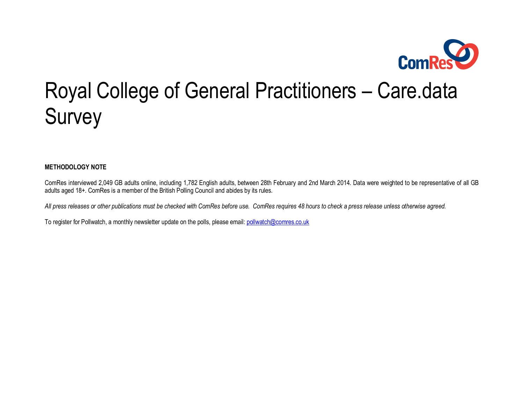

# Royal College of General Practitioners – Care.data Survey

**METHODOLOGY NOTE**

ComRes interviewed 2,049 GB adults online, including 1,782 English adults, between 28th February and 2nd March 2014. Data were weighted to be representative of all GB adults aged 18+. ComRes is a member of the British Polling Council and abides by its rules.

*All press releases or other publications must be checked with ComRes before use. ComRes requires 48 hours to check a press release unless otherwise agreed.*

To register for Pollwatch, a monthly newsletter update on the polls, please email: pollw[atch@comres.co.uk](mailto:pollwatch@comres.co.uk)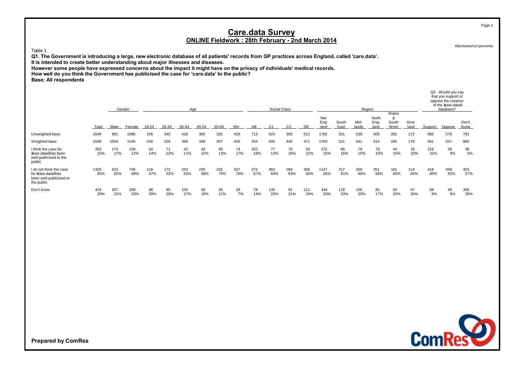Absolutes/col percents

Table 1

**Q1. The Government is introducing a large, new electronic database of all patients' records from GP practices across England, called 'care.data'.**

**It is intended to create better understanding about major illnesses and diseases.**

**However some people have expressed concerns about the impact it might have on the privacy of individuals' medical records.**

**How well do you think the Government has publicised the case for 'care.data' to the public?**

**Base: All respondents**

|                                                                                       |             |            | Gender     | Age        |            |            |            |            |            |            | Region                         |                |            |                      |               |               |                       | Q3 - Would you say<br>that you support or<br>oppose the creation<br>of the care.dataq<br>database? |               |            |            |               |
|---------------------------------------------------------------------------------------|-------------|------------|------------|------------|------------|------------|------------|------------|------------|------------|--------------------------------|----------------|------------|----------------------|---------------|---------------|-----------------------|----------------------------------------------------------------------------------------------------|---------------|------------|------------|---------------|
|                                                                                       | Total       | Male       | Female     | 18-24      | 25-34      | 35-44      | 45-54      | 55-64      | 65+        | AB         | Social Class<br>C <sub>1</sub> | C <sub>2</sub> | DE         | Net:<br>Eng-<br>land | South<br>East | Mid-<br>lands | North<br>Eng-<br>land | Wales<br>&<br>South<br>West                                                                        | Scot-<br>land | Support    | Oppose     | Don't<br>know |
| Unweighted base                                                                       | 2049        | 961        | 1088       | 156        | 345        | 428        | 366        | 326        | 428        | 713        | 524                            | 300            | 512        | 1782                 | 551           | 539           | 505                   | 282                                                                                                | 172           | 682        | 576        | 791           |
| Weighted base                                                                         | 2049        | 1004       | 1045       | 246        | 328        | 389        | 348        | 307        | 430        | 553        | 594                            | 430            | 471        | 1763                 | 521           | 541           | 514                   | 295                                                                                                | 178           | 691        | 557        | 800           |
| I think the case for<br>£are.dataghas been<br>well-publicised to the<br>public        | 304<br>15%  | 174<br>17% | 130<br>12% | 34<br>14%  | 71<br>22%  | 42<br>11%  | 43<br>12%  | 40<br>13%  | 74<br>17%  | 103<br>19% | 77<br>13%                      | 70<br>16%      | 54<br>12%  | 272<br>15%           | 85<br>16%     | 79<br>15%     | 78<br>15%             | 44<br>15%                                                                                          | 18<br>10%     | 216<br>31% | 50<br>9%   | 38<br>5%      |
| I do not think the case<br>for care.dataghas<br>been well-publicised to<br>the public | 1329<br>65% | 623<br>62% | 706<br>68% | 116<br>47% | 172<br>52% | 243<br>62% | 239<br>69% | 232<br>76% | 327<br>76% | 372<br>67% | 382<br>64%                     | 269<br>63%     | 306<br>65% | 1147<br>65%          | 317<br>61%    | 356<br>66%    | 351<br>68%            | 191<br>65%                                                                                         | 114<br>64%    | 418<br>60% | 458<br>82% | 453<br>57%    |
| Don't know                                                                            | 416<br>20%  | 207<br>21% | 209<br>20% | 96<br>39%  | 85<br>26%  | 105<br>27% | 66<br>19%  | 35<br>11%  | 29<br>7%   | 78<br>14%  | 135<br>23%                     | 91<br>21%      | 111<br>24% | 344<br>20%           | 118<br>23%    | 106<br>20%    | 85<br>17%             | 60<br>20%                                                                                          | 47<br>26%     | 58<br>8%   | 49<br>9%   | 309<br>39%    |



**Prepared by ComRes**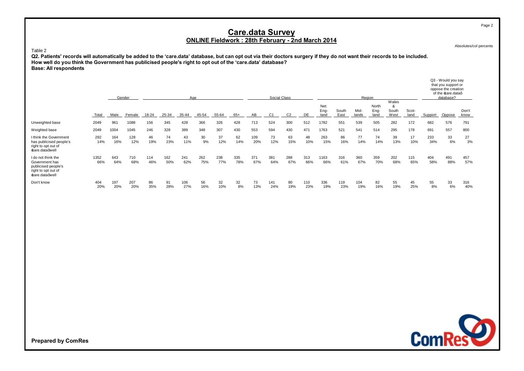Absolutes/col percents

#### Table 2

**Q2. Patients' records will automatically be added to the 'care.data' database, but can opt out via their doctors surgery if they do not want their records to be included. How well do you think the Government has publicised people's right to opt out of the 'care.data' database? Base: All respondents**

|                                                                                                      |             |            | Gender     | Aae        |            |            |            |            |            |            | Social Class |                |            |                      |               | Region        | Q3 - Would you say<br>that you support or<br>oppose the creation<br>of the care.dataq<br>database? |                             |               |            |            |               |
|------------------------------------------------------------------------------------------------------|-------------|------------|------------|------------|------------|------------|------------|------------|------------|------------|--------------|----------------|------------|----------------------|---------------|---------------|----------------------------------------------------------------------------------------------------|-----------------------------|---------------|------------|------------|---------------|
|                                                                                                      | Total       | Male       | Female     | 18-24      | 25-34      | 35-44      | 45-54      | 55-64      | $65+$      | AB         | C1           | C <sub>2</sub> | DE.        | Net:<br>Eng-<br>land | South<br>East | Mid-<br>lands | North<br>Eng-<br>land                                                                              | Wales<br>&<br>South<br>West | Scot-<br>land | Support    | Oppose     | Don't<br>know |
| Unweighted base                                                                                      | 2049        | 961        | 1088       | 156        | 345        | 428        | 366        | 326        | 428        | 713        | 524          | 300            | 512        | 1782                 | 551           | 539           | 505                                                                                                | 282                         | 172           | 682        | 576        | 791           |
| Weighted base                                                                                        | 2049        | 1004       | 1045       | 246        | 328        | 389        | 348        | 307        | 430        | 553        | 594          | 430            | 471        | 1763                 | 521           | 541           | 514                                                                                                | 295                         | 178           | 691        | 557        | 800           |
| I think the Government<br>has publicised people's<br>right to opt out of<br>£are.dataqwell           | 292<br>14%  | 164<br>16% | 128<br>12% | 46<br>19%  | 74<br>23%  | 43<br>11%  | 30<br>9%   | 37<br>12%  | 62<br>14%  | 109<br>20% | 73<br>12%    | 63<br>15%      | 48<br>10%  | 263<br>15%           | 86<br>16%     | 77<br>14%     | 74<br>14%                                                                                          | 39<br>13%                   | 17<br>10%     | 233<br>34% | 33<br>6%   | 27<br>3%      |
| I do not think the<br>Government has<br>publicised people's<br>right to opt out of<br>£are.dataqwell | 1352<br>66% | 643<br>64% | 710<br>68% | 114<br>46% | 162<br>50% | 241<br>62% | 262<br>75% | 238<br>77% | 335<br>78% | 371<br>67% | 381<br>64%   | 288<br>67%     | 313<br>66% | 1163<br>66%          | 316<br>61%    | 360<br>67%    | 359<br>70%                                                                                         | 202<br>68%                  | 115<br>65%    | 404<br>58% | 491<br>88% | 457<br>57%    |
| Don't know                                                                                           | 404<br>20%  | 197<br>20% | 207<br>20% | 86<br>35%  | 91<br>28%  | 106<br>27% | 56<br>16%  | 32<br>10%  | 32<br>8%   | 73<br>13%  | 141<br>24%   | 80<br>19%      | 110<br>23% | 336<br>19%           | 119<br>23%    | 104<br>19%    | 82<br>16%                                                                                          | 55<br>19%                   | 45<br>25%     | 55<br>8%   | 33<br>6%   | 316<br>40%    |



**Prepared by ComRes**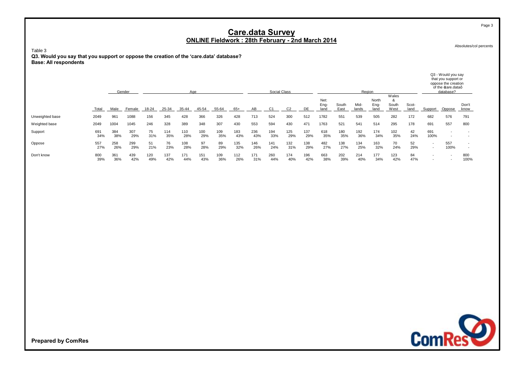Absolutes/col percents

Table 3

**Q3. Would you say that you support or oppose the creation of the 'care.data' database? Base: All respondents**

|                 |            |            | Gender     | Aae        |            |            |            |            |            |            | Social Class |            | Region     |                      |               |               |                       |                             |               | Q3 - Would you say<br>that you support or<br>oppose the creation<br>of the care.dataq<br>database? |             |                          |
|-----------------|------------|------------|------------|------------|------------|------------|------------|------------|------------|------------|--------------|------------|------------|----------------------|---------------|---------------|-----------------------|-----------------------------|---------------|----------------------------------------------------------------------------------------------------|-------------|--------------------------|
|                 | Total      | Male       | Female     | 18-24      | 25-34      | 35-44      | 45-54      | 55-64      | $65+$      | AB         |              |            | DE.        | Net:<br>Eng-<br>land | South<br>East | Mid-<br>lands | North<br>Eng-<br>land | Wales<br>ă<br>South<br>West | Scot-<br>land | Support                                                                                            | Oppose      | Don't<br>know            |
| Unweighted base | 2049       | 961        | 1088       | 156        | 345        | 428        | 366        | 326        | 428        | 713        | 524          | 300        | 512        | 1782                 | 551           | 539           | 505                   | 282                         | 172           | 682                                                                                                | 576         | 791                      |
| Weighted base   | 2049       | 1004       | 1045       | 246        | 328        | 389        | 348        | 307        | 430        | 553        | 594          | 430        | 471        | 1763                 | 521           | 541           | 514                   | 295                         | 178           | 691                                                                                                | 557         | 800                      |
| Support         | 691<br>34% | 384<br>38% | 307<br>29% | 75<br>31%  | 114<br>35% | 110<br>28% | 100<br>29% | 109<br>35% | 183<br>43% | 236<br>43% | 194<br>33%   | 125<br>29% | 137<br>29% | 618<br>35%           | 180<br>35%    | 192<br>36%    | 174<br>34%            | 102<br>35%                  | 42<br>24%     | 691<br>100%                                                                                        |             | $\overline{\phantom{a}}$ |
| Oppose          | 557<br>27% | 258<br>26% | 299<br>29% | 51<br>21%  | 76<br>23%  | 108<br>28% | 97<br>28%  | 89<br>29%  | 135<br>32% | 146<br>26% | 141<br>24%   | 132<br>31% | 138<br>29% | 482<br>27%           | 138<br>27%    | 134<br>25%    | 163<br>32%            | 70<br>24%                   | 52<br>29%     | $\overline{\phantom{a}}$<br>$\overline{\phantom{a}}$                                               | 557<br>100% | $\overline{\phantom{a}}$ |
| Don't know      | 800<br>39% | 361<br>36% | 439<br>42% | 120<br>49% | 137<br>42% | 171<br>44% | 151<br>43% | 109<br>36% | 112<br>26% | 171<br>31% | 260<br>44%   | 174<br>40% | 196<br>42% | 663<br>38%           | 202<br>39%    | 214<br>40%    | 177<br>34%            | 123<br>42%                  | 84<br>47%     | $\overline{\phantom{a}}$                                                                           |             | 800<br>100%              |



**Prepared by ComRes**